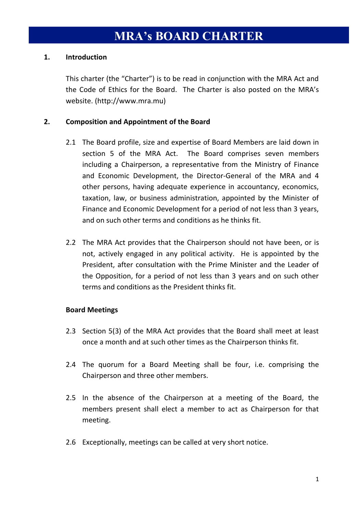# **1. Introduction**

This charter (the "Charter") is to be read in conjunction with the MRA Act and the Code of Ethics for the Board. The Charter is also posted on the MRA's website. (http://www.mra.mu)

# **2. Composition and Appointment of the Board**

- 2.1 The Board profile, size and expertise of Board Members are laid down in section 5 of the MRA Act. The Board comprises seven members including a Chairperson, a representative from the Ministry of Finance and Economic Development, the Director-General of the MRA and 4 other persons, having adequate experience in accountancy, economics, taxation, law, or business administration, appointed by the Minister of Finance and Economic Development for a period of not less than 3 years, and on such other terms and conditions as he thinks fit.
- 2.2 The MRA Act provides that the Chairperson should not have been, or is not, actively engaged in any political activity. He is appointed by the President, after consultation with the Prime Minister and the Leader of the Opposition, for a period of not less than 3 years and on such other terms and conditions as the President thinks fit.

## **Board Meetings**

- 2.3 Section 5(3) of the MRA Act provides that the Board shall meet at least once a month and at such other times as the Chairperson thinks fit.
- 2.4 The quorum for a Board Meeting shall be four, i.e. comprising the Chairperson and three other members.
- 2.5 In the absence of the Chairperson at a meeting of the Board, the members present shall elect a member to act as Chairperson for that meeting.
- 2.6 Exceptionally, meetings can be called at very short notice.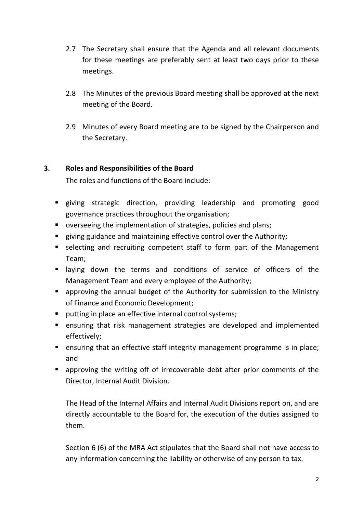- 2.7 The Secretary shall ensure that the Agenda and all relevant documents for these meetings are preferably sent at least two days prior to these meetings.
- 2.8 The Minutes of the previous Board meeting shall be approved at the next meeting of the Board.
- 2.9 Minutes of every Board meeting are to be signed by the Chairperson and the Secretary.

# **3. Roles and Responsibilities of the Board**

The roles and functions of the Board include:

- giving strategic direction, providing leadership and promoting good governance practices throughout the organisation;
- overseeing the implementation of strategies, policies and plans;
- **EXEDENT** giving guidance and maintaining effective control over the Authority;
- selecting and recruiting competent staff to form part of the Management Team;
- laying down the terms and conditions of service of officers of the Management Team and every employee of the Authority;
- approving the annual budget of the Authority for submission to the Ministry of Finance and Economic Development;
- **P** putting in place an effective internal control systems;
- ensuring that risk management strategies are developed and implemented effectively;
- **EXE** ensuring that an effective staff integrity management programme is in place; and
- approving the writing off of irrecoverable debt after prior comments of the Director, Internal Audit Division.

The Head of the Internal Affairs and Internal Audit Divisions report on, and are directly accountable to the Board for, the execution of the duties assigned to them.

Section 6 (6) of the MRA Act stipulates that the Board shall not have access to any information concerning the liability or otherwise of any person to tax.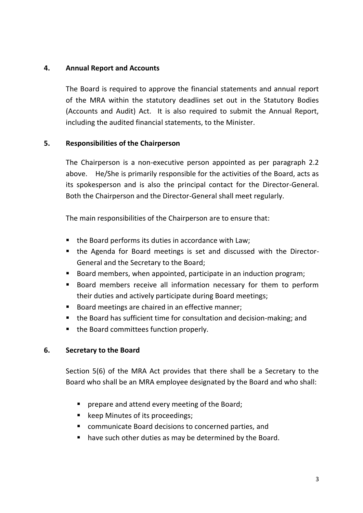## **4. Annual Report and Accounts**

The Board is required to approve the financial statements and annual report of the MRA within the statutory deadlines set out in the Statutory Bodies (Accounts and Audit) Act. It is also required to submit the Annual Report, including the audited financial statements, to the Minister.

## **5. Responsibilities of the Chairperson**

The Chairperson is a non-executive person appointed as per paragraph 2.2 above. He/She is primarily responsible for the activities of the Board, acts as its spokesperson and is also the principal contact for the Director-General. Both the Chairperson and the Director-General shall meet regularly.

The main responsibilities of the Chairperson are to ensure that:

- the Board performs its duties in accordance with Law;
- the Agenda for Board meetings is set and discussed with the Director-General and the Secretary to the Board;
- Board members, when appointed, participate in an induction program;
- Board members receive all information necessary for them to perform their duties and actively participate during Board meetings;
- Board meetings are chaired in an effective manner;
- the Board has sufficient time for consultation and decision-making; and
- the Board committees function properly.

## **6. Secretary to the Board**

Section 5(6) of the MRA Act provides that there shall be a Secretary to the Board who shall be an MRA employee designated by the Board and who shall:

- **P** prepare and attend every meeting of the Board;
- keep Minutes of its proceedings;
- communicate Board decisions to concerned parties, and
- **have such other duties as may be determined by the Board.**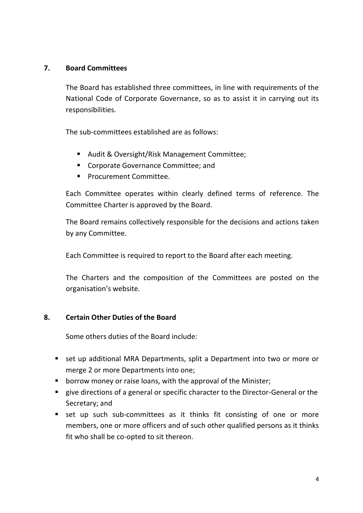## **7. Board Committees**

The Board has established three committees, in line with requirements of the National Code of Corporate Governance, so as to assist it in carrying out its responsibilities.

The sub-committees established are as follows:

- Audit & Oversight/Risk Management Committee;
- **EXECO COVERT** Corporate Governance Committee; and
- **Procurement Committee.**

Each Committee operates within clearly defined terms of reference. The Committee Charter is approved by the Board.

The Board remains collectively responsible for the decisions and actions taken by any Committee.

Each Committee is required to report to the Board after each meeting.

The Charters and the composition of the Committees are posted on the organisation's website.

## **8. Certain Other Duties of the Board**

Some others duties of the Board include:

- set up additional MRA Departments, split a Department into two or more or merge 2 or more Departments into one;
- **•** borrow money or raise loans, with the approval of the Minister;
- **EXT** give directions of a general or specific character to the Director-General or the Secretary; and
- **E** set up such sub-committees as it thinks fit consisting of one or more members, one or more officers and of such other qualified persons as it thinks fit who shall be co-opted to sit thereon.